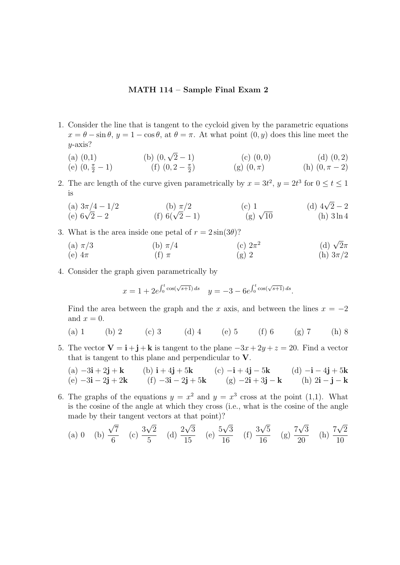## MATH 114 – Sample Final Exam 2

- 1. Consider the line that is tangent to the cycloid given by the parametric equations  $x = \theta - \sin \theta$ ,  $y = 1 - \cos \theta$ , at  $\theta = \pi$ . At what point  $(0, y)$  does this line meet the  $y$ -axis?
	- $(a)$   $(0,1)$ (b)  $(0, \sqrt{2} - 1)$  $(c)$   $(0, 0)$   $(d)$   $(0, 2)$

(e) 
$$
(0, \frac{\pi}{2} - 1)
$$
   
 (f)  $(0, 2 - \frac{\pi}{2})$    
 (g)  $(0, \pi)$    
 (h)  $(0, \pi - 2)$ 

- 2. The arc length of the curve given parametrically by  $x = 3t^2$ ,  $y = 2t^3$  for  $0 \le t \le 1$ is
	- (a)  $3\pi/4 1/2$ <br>
	(b)  $\pi/2$ <br>
	(c) 1 (d)  $4\sqrt{2} 2$ <br>
	(e)  $6\sqrt{2} 2$ <br>
	(f)  $6(\sqrt{2} 1)$ <br>
	(g)  $\sqrt{10}$ <br>
	(h)  $3\ln 4$
- 3. What is the area inside one petal of  $r = 2 \sin(3\theta)$ ?
	- (a)  $\pi/3$  (b)  $\pi/4$ (c)  $2\pi^2$ <br>(g) 2 (d)  $\sqrt{2}\pi$ (e)  $4\pi$  (f)  $\pi$  (g) 2 (h)  $3\pi/2$
- 4. Consider the graph given parametrically by

$$
x = 1 + 2e^{\int_0^t \cos(\sqrt{s+1}) ds} \quad y = -3 - 6e^{\int_0^t \cos(\sqrt{s+1}) ds}.
$$

Find the area between the graph and the x axis, and between the lines  $x = -2$ and  $x = 0$ .

- (a) 1 (b) 2 (c) 3 (d) 4 (e) 5 (f) 6 (g) 7 (h) 8
- 5. The vector  $\mathbf{V} = \mathbf{i} + \mathbf{j} + \mathbf{k}$  is tangent to the plane  $-3x + 2y + z = 20$ . Find a vector that is tangent to this plane and perpendicular to V.
	- (a)  $-3\mathbf{i} + 2\mathbf{j} + \mathbf{k}$  (b)  $\mathbf{i} + 4\mathbf{j} + 5\mathbf{k}$  (c)  $-\mathbf{i} + 4\mathbf{j} 5\mathbf{k}$  (d)  $-\mathbf{i} 4\mathbf{j} + 5\mathbf{k}$  $(e) -3i - 2j + 2k$  (f)  $-3i - 2j + 5k$  (g)  $-2i + 3j - k$  (h)  $2i - j - k$
- 6. The graphs of the equations  $y = x^2$  and  $y = x^3$  cross at the point (1,1). What is the cosine of the angle at which they cross (i.e., what is the cosine of the angle made by their tangent vectors at that point)?

(a) 0 (b) 
$$
\frac{\sqrt{7}}{6}
$$
 (c)  $\frac{3\sqrt{2}}{5}$  (d)  $\frac{2\sqrt{3}}{15}$  (e)  $\frac{5\sqrt{3}}{16}$  (f)  $\frac{3\sqrt{5}}{16}$  (g)  $\frac{7\sqrt{3}}{20}$  (h)  $\frac{7\sqrt{2}}{10}$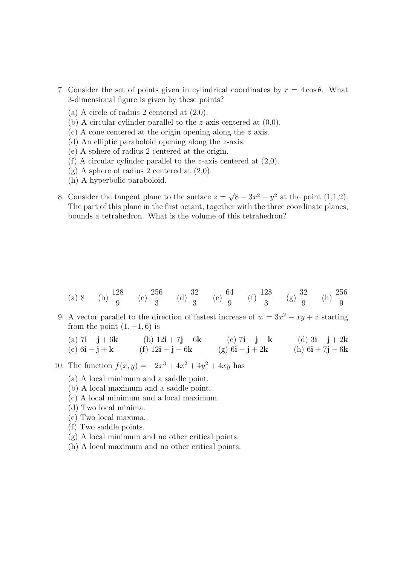- 7. Consider the set of points given in cylindrical coordinates by  $r = 4 \cos \theta$ . What 3-dimensional figure is given by these points?
	- (a) A circle of radius 2 centered at  $(2,0)$ .
	- (b) A circular cylinder parallel to the *z*-axis centered at  $(0,0)$ .
	- (c) A cone centered at the origin opening along the z axis.
	- (d) An elliptic paraboloid opening along the z-axis.
	- (e) A sphere of radius 2 centered at the origin.
	- (f) A circular cylinder parallel to the z-axis centered at  $(2,0)$ .
	- $(g)$  A sphere of radius 2 centered at  $(2,0)$ .
	- (h) A hyperbolic paraboloid.
- 8. Consider the tangent plane to the surface  $z =$  $8 - 3x^2 - y^2$  at the point  $(1,1,2)$ . The part of this plane in the first octant, together with the three coordinate planes, bounds a tetrahedron. What is the volume of this tetrahedron?

- (a) 8 (b)  $\frac{128}{0}$ 9  $(c) \frac{256}{2}$ 3 (d)  $\frac{32}{9}$ 3 (e)  $\frac{64}{9}$ 9 (f)  $\frac{128}{9}$ 3  $(g) \frac{32}{9}$ 9 (h)  $\frac{256}{9}$ 9
- 9. A vector parallel to the direction of fastest increase of  $w = 3x^2 xy + z$  starting from the point  $(1, -1, 6)$  is
	- (a)  $7i j + 6k$  (b)  $12i + 7j 6k$  (c)  $7i j + k$  (d)  $3i j + 2k$ (e)  $6i - j + k$  (f)  $12i - j - 6k$  (g)  $6i - j + 2k$  (h)  $6i + 7j - 6k$
- 10. The function  $f(x, y) = -2x^3 + 4x^2 + 4y^2 + 4xy$  has
	- (a) A local minimum and a saddle point.
	- (b) A local maximum and a saddle point.
	- (c) A local minimum and a local maximum.
	- (d) Two local minima.
	- (e) Two local maxima.
	- (f) Two saddle points.
	- (g) A local minimum and no other critical points.
	- (h) A local maximum and no other critical points.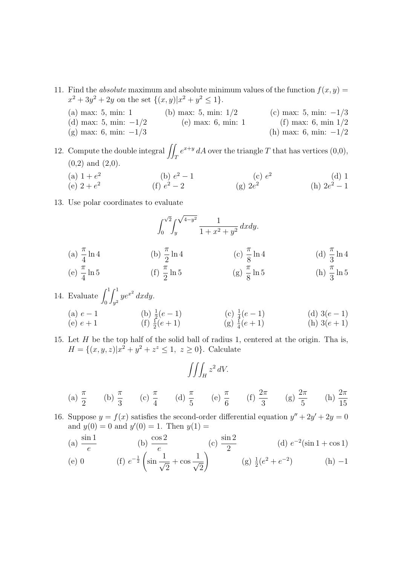- 11. Find the *absolute* maximum and absolute minimum values of the function  $f(x, y) =$  $x^2 + 3y^2 + 2y$  on the set  $\{(x, y)|x^2 + y^2 \le 1\}.$ 
	- (a) max: 5, min: 1 (b) max: 5, min:  $1/2$  (c) max: 5, min:  $-1/3$ (d) max: 5, min:  $-1/2$  (e) max: 6, min: 1 (f) max: 6, min  $1/2$ (g) max: 6, min:  $-1/3$  (h) max: 6, min:  $-1/2$

12. Compute the double integral  $\iint_T e^{x+y} dA$  over the triangle T that has vertices (0,0),  $(0,2)$  and  $(2,0)$ .

- (a)  $1 + e^2$  $(b)$  e  $2^2-1$  (c)  $e^2$ (d) 1 (e)  $2 + e^2$ (f)  $e^2 - 2$  (g)  $2e$ 2 (h)  $2e^2 - 1$
- 13. Use polar coordinates to evaluate

(a) 
$$
\frac{\pi}{4} \ln 4
$$
  
\n(b)  $\frac{\pi}{2} \ln 4$   
\n(c)  $\frac{\pi}{8} \ln 4$   
\n(d)  $\frac{\pi}{3} \ln 4$   
\n(e)  $\frac{\pi}{4} \ln 5$   
\n(f)  $\frac{\pi}{2} \ln 5$   
\n(g)  $\frac{\pi}{8} \ln 5$   
\n(h)  $\frac{\pi}{3} \ln 5$ 

14. Evaluate 
$$
\int_0^1 \int_{y^2}^1 ye^{x^2} dx dy
$$
.  
\n(a)  $e - 1$   
\n(b)  $\frac{1}{2}(e - 1)$   
\n(c)  $\frac{1}{4}(e - 1)$   
\n(d)  $3(e - 1)$   
\n(e)  $e + 1$   
\n(f)  $\frac{1}{2}(e + 1)$   
\n(g)  $\frac{1}{4}(e + 1)$   
\n(h)  $3(e + 1)$ 

15. Let  $H$  be the top half of the solid ball of radius 1, centered at the origin. Tha is,  $H = \{(x, y, z)|x^2 + y^2 + z^z \leq 1, z \geq 0\}.$  Calculate

$$
\iiint_H z^2 dV.
$$

(a) 
$$
\frac{\pi}{2}
$$
 (b)  $\frac{\pi}{3}$  (c)  $\frac{\pi}{4}$  (d)  $\frac{\pi}{5}$  (e)  $\frac{\pi}{6}$  (f)  $\frac{2\pi}{3}$  (g)  $\frac{2\pi}{5}$  (h)  $\frac{2\pi}{15}$ 

16. Suppose  $y = f(x)$  satisfies the second-order differential equation  $y'' + 2y' + 2y = 0$ and  $y(0) = 0$  and  $y'(0) = 1$ . Then  $y(1) =$ 

(a) 
$$
\frac{\sin 1}{e}
$$
 (b)  $\frac{\cos 2}{e}$  (c)  $\frac{\sin 2}{2}$  (d)  $e^{-2}(\sin 1 + \cos 1)$   
\n(e) 0 (f)  $e^{-\frac{1}{2}} \left( \sin \frac{1}{\sqrt{2}} + \cos \frac{1}{\sqrt{2}} \right)$  (g)  $\frac{1}{2}(e^{2} + e^{-2})$  (h) -1